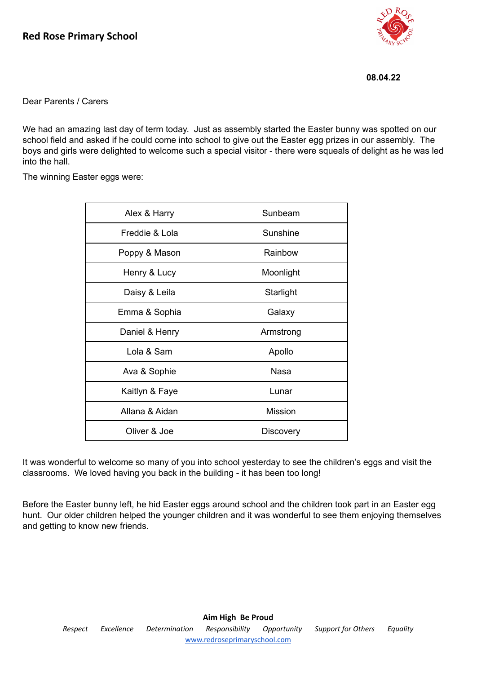

**08.04.22**

Dear Parents / Carers

We had an amazing last day of term today. Just as assembly started the Easter bunny was spotted on our school field and asked if he could come into school to give out the Easter egg prizes in our assembly. The boys and girls were delighted to welcome such a special visitor - there were squeals of delight as he was led into the hall.

The winning Easter eggs were:

| Alex & Harry   | Sunbeam        |
|----------------|----------------|
| Freddie & Lola | Sunshine       |
| Poppy & Mason  | Rainbow        |
| Henry & Lucy   | Moonlight      |
| Daisy & Leila  | Starlight      |
| Emma & Sophia  | Galaxy         |
| Daniel & Henry | Armstrong      |
| Lola & Sam     | Apollo         |
| Ava & Sophie   | <b>Nasa</b>    |
| Kaitlyn & Faye | Lunar          |
| Allana & Aidan | <b>Mission</b> |
| Oliver & Joe   | Discovery      |

It was wonderful to welcome so many of you into school yesterday to see the children's eggs and visit the classrooms. We loved having you back in the building - it has been too long!

Before the Easter bunny left, he hid Easter eggs around school and the children took part in an Easter egg hunt. Our older children helped the younger children and it was wonderful to see them enjoying themselves and getting to know new friends.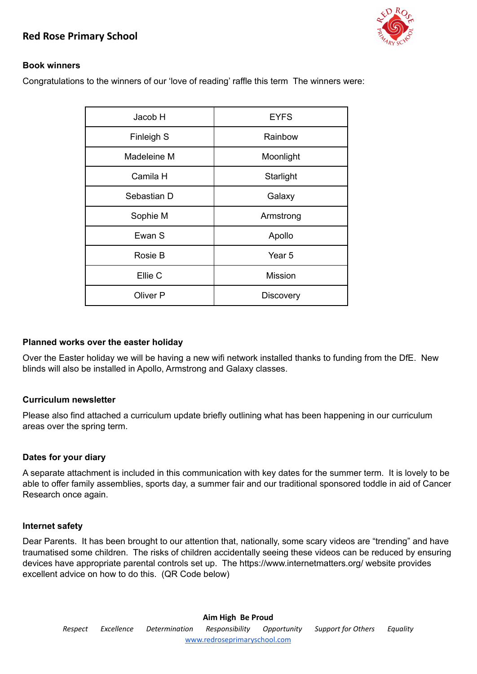

## **Book winners**

Congratulations to the winners of our 'love of reading' raffle this term The winners were:

| Jacob H     | <b>EYFS</b>      |
|-------------|------------------|
| Finleigh S  | Rainbow          |
| Madeleine M | Moonlight        |
| Camila H    | Starlight        |
| Sebastian D | Galaxy           |
| Sophie M    | Armstrong        |
| Ewan S      | Apollo           |
| Rosie B     | Year 5           |
| Ellie C     | <b>Mission</b>   |
| Oliver P    | <b>Discovery</b> |

#### **Planned works over the easter holiday**

Over the Easter holiday we will be having a new wifi network installed thanks to funding from the DfE. New blinds will also be installed in Apollo, Armstrong and Galaxy classes.

## **Curriculum newsletter**

Please also find attached a curriculum update briefly outlining what has been happening in our curriculum areas over the spring term.

## **Dates for your diary**

A separate attachment is included in this communication with key dates for the summer term. It is lovely to be able to offer family assemblies, sports day, a summer fair and our traditional sponsored toddle in aid of Cancer Research once again.

## **Internet safety**

Dear Parents. It has been brought to our attention that, nationally, some scary videos are "trending" and have traumatised some children. The risks of children accidentally seeing these videos can be reduced by ensuring devices have appropriate parental controls set up. The https://www.internetmatters.org/ website provides excellent advice on how to do this. (QR Code below)